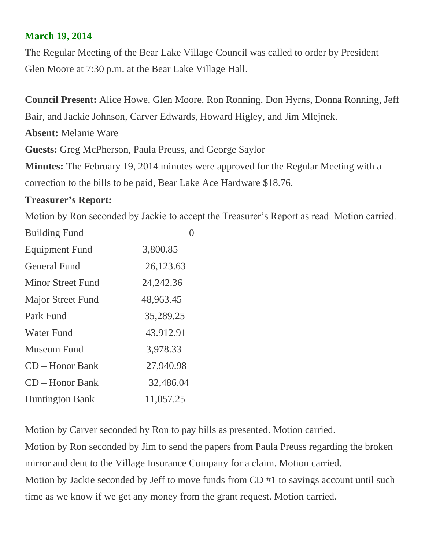## **March 19, 2014**

The Regular Meeting of the Bear Lake Village Council was called to order by President Glen Moore at 7:30 p.m. at the Bear Lake Village Hall.

**Council Present:** Alice Howe, Glen Moore, Ron Ronning, Don Hyrns, Donna Ronning, Jeff Bair, and Jackie Johnson, Carver Edwards, Howard Higley, and Jim Mlejnek.

**Absent:** Melanie Ware

**Guests:** Greg McPherson, Paula Preuss, and George Saylor

**Minutes:** The February 19, 2014 minutes were approved for the Regular Meeting with a correction to the bills to be paid, Bear Lake Ace Hardware \$18.76.

## **Treasurer's Report:**

Motion by Ron seconded by Jackie to accept the Treasurer's Report as read. Motion carried.

| <b>Building Fund</b>     |             |
|--------------------------|-------------|
| <b>Equipment Fund</b>    | 3,800.85    |
| <b>General Fund</b>      | 26,123.63   |
| Minor Street Fund        | 24, 242. 36 |
| <b>Major Street Fund</b> | 48,963.45   |
| Park Fund                | 35,289.25   |
| <b>Water Fund</b>        | 43.912.91   |
| Museum Fund              | 3,978.33    |
| $CD - Honor Bank$        | 27,940.98   |
| $CD - Honor Bank$        | 32,486.04   |
| <b>Huntington Bank</b>   | 11,057.25   |

Motion by Carver seconded by Ron to pay bills as presented. Motion carried.

Motion by Ron seconded by Jim to send the papers from Paula Preuss regarding the broken mirror and dent to the Village Insurance Company for a claim. Motion carried. Motion by Jackie seconded by Jeff to move funds from CD #1 to savings account until such time as we know if we get any money from the grant request. Motion carried.